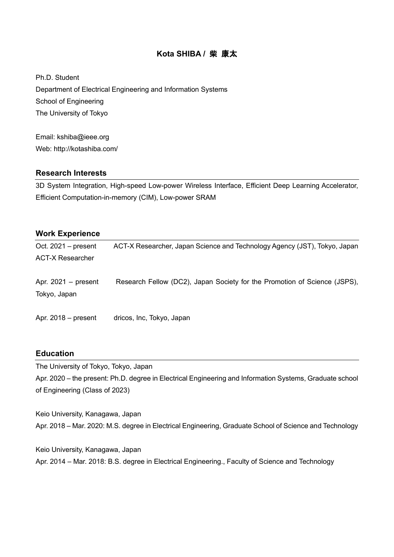# **Kota SHIBA /** 柴 康太

Ph.D. Student Department of Electrical Engineering and Information Systems School of Engineering The University of Tokyo

Email: kshiba@ieee.org Web: http://kotashiba.com/

# **Research Interests**

3D System Integration, High-speed Low-power Wireless Interface, Efficient Deep Learning Accelerator, Efficient Computation-in-memory (CIM), Low-power SRAM

# **Work Experience**

| Oct. $2021 - present$                 | ACT-X Researcher, Japan Science and Technology Agency (JST), Tokyo, Japan |
|---------------------------------------|---------------------------------------------------------------------------|
| <b>ACT-X Researcher</b>               |                                                                           |
| Apr. $2021 -$ present<br>Tokyo, Japan | Research Fellow (DC2), Japan Society for the Promotion of Science (JSPS), |
| Apr. $2018$ – present                 | dricos, Inc, Tokyo, Japan                                                 |

# **Education**

The University of Tokyo, Tokyo, Japan Apr. 2020 – the present: Ph.D. degree in Electrical Engineering and Information Systems, Graduate school of Engineering (Class of 2023)

Keio University, Kanagawa, Japan Apr. 2018 – Mar. 2020: M.S. degree in Electrical Engineering, Graduate School of Science and Technology

Keio University, Kanagawa, Japan Apr. 2014 – Mar. 2018: B.S. degree in Electrical Engineering., Faculty of Science and Technology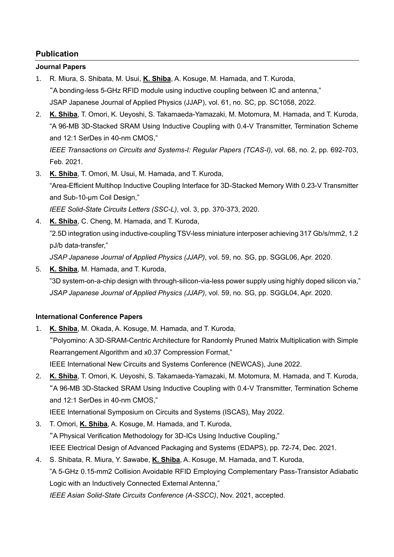# **Publication**

# **Journal Papers**

- 1. R. Miura, S. Shibata, M. Usui, **K. Shiba**, A. Kosuge, M. Hamada, and T. Kuroda, "A bonding-less 5-GHz RFID module using inductive coupling between IC and antenna," JSAP Japanese Journal of Applied Physics (JJAP), vol. 61, no. SC, pp. SC1058, 2022.
- 2. **K. Shiba**, T. Omori, K. Ueyoshi, S. Takamaeda-Yamazaki, M. Motomura, M. Hamada, and T. Kuroda, "A 96-MB 3D-Stacked SRAM Using Inductive Coupling with 0.4-V Transmitter, Termination Scheme and 12:1 SerDes in 40-nm CMOS," *IEEE Transactions on Circuits and Systems-I: Regular Papers (TCAS-I)*, vol. 68, no. 2, pp. 692-703,

Feb. 2021. 3. **K. Shiba**, T. Omori, M. Usui, M. Hamada, and T. Kuroda,

"Area-Efficient Multihop Inductive Coupling Interface for 3D-Stacked Memory With 0.23-V Transmitter and Sub-10-μm Coil Design,"

*IEEE Solid-State Circuits Letters (SSC-L)*, vol. 3, pp. 370-373, 2020.

4. **K. Shiba**, C. Cheng, M. Hamada, and T. Kuroda,

"2.5D integration using inductive-coupling TSV-less miniature interposer achieving 317 Gb/s/mm2, 1.2 pJ/b data-transfer,"

*JSAP Japanese Journal of Applied Physics (JJAP)*, vol. 59, no. SG, pp. SGGL06, Apr. 2020.

5. **K. Shiba**, M. Hamada, and T. Kuroda, "3D system-on-a-chip design with through-silicon-via-less power supply using highly doped silicon via," *JSAP Japanese Journal of Applied Physics (JJAP)*, vol. 59, no. SG, pp. SGGL04, Apr. 2020.

# **International Conference Papers**

- 1. **K. Shiba**, M. Okada, A. Kosuge, M. Hamada, and T. Kuroda, "Polyomino: A 3D-SRAM-Centric Architecture for Randomly Pruned Matrix Multiplication with Simple Rearrangement Algorithm and x0.37 Compression Format," IEEE International New Circuits and Systems Conference (NEWCAS), June 2022.
- 2. **K. Shiba**, T. Omori, K. Ueyoshi, S. Takamaeda-Yamazaki, M. Motomura, M. Hamada, and T. Kuroda, "A 96-MB 3D-Stacked SRAM Using Inductive Coupling with 0.4-V Transmitter, Termination Scheme and 12:1 SerDes in 40-nm CMOS,"

IEEE International Symposium on Circuits and Systems (ISCAS), May 2022.

- 3. T. Omori, **K. Shiba**, A. Kosuge, M. Hamada, and T. Kuroda, "A Physical Verification Methodology for 3D-ICs Using Inductive Coupling," IEEE Electrical Design of Advanced Packaging and Systems (EDAPS), pp. 72-74, Dec. 2021.
- 4. S. Shibata, R. Miura, Y. Sawabe, **K. Shiba**, A. Kosuge, M. Hamada, and T. Kuroda, "A 5-GHz 0.15-mm2 Collision Avoidable RFID Employing Complementary Pass-Transistor Adiabatic Logic with an Inductively Connected External Antenna,"

*IEEE Asian Solid-State Circuits Conference (A-SSCC)*, Nov. 2021, accepted.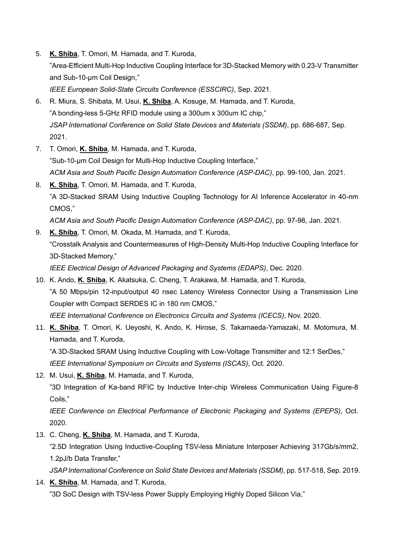- 5. **K. Shiba**, T. Omori, M. Hamada, and T. Kuroda, "Area-Efficient Multi-Hop Inductive Coupling Interface for 3D-Stacked Memory with 0.23-V Transmitter and Sub-10-μm Coil Design," *IEEE European Solid-State Circuits Conference (ESSCIRC)*, Sep. 2021.
- 6. R. Miura, S. Shibata, M. Usui, **K. Shiba**, A. Kosuge, M. Hamada, and T. Kuroda, "A bonding-less 5-GHz RFID module using a 300um x 300um IC chip," *JSAP International Conference on Solid State Devices and Materials (SSDM)*, pp. 686-687, Sep. 2021.
- 7. T. Omori, **K. Shiba**, M. Hamada, and T. Kuroda, "Sub-10-μm Coil Design for Multi-Hop Inductive Coupling Interface," *ACM Asia and South Pacific Design Automation Conference (ASP-DAC)*, pp. 99-100, Jan. 2021.
- 8. **K. Shiba**, T. Omori, M. Hamada, and T. Kuroda, "A 3D-Stacked SRAM Using Inductive Coupling Technology for AI Inference Accelerator in 40-nm CMOS,"

*ACM Asia and South Pacific Design Automation Conference (ASP-DAC)*, pp. 97-98, Jan. 2021.

9. **K. Shiba**, T. Omori, M. Okada, M. Hamada, and T. Kuroda, "Crosstalk Analysis and Countermeasures of High-Density Multi-Hop Inductive Coupling Interface for 3D-Stacked Memory,"

*IEEE Electrical Design of Advanced Packaging and Systems (EDAPS)*, Dec. 2020.

- 10. K. Ando, **K. Shiba**, K. Akatsuka, C. Cheng, T. Arakawa, M. Hamada, and T. Kuroda, "A 50 Mbps/pin 12-input/output 40 nsec Latency Wireless Connector Using a Transmission Line Coupler with Compact SERDES IC in 180 nm CMOS," *IEEE International Conference on Electronics Circuits and Systems (ICECS)*, Nov. 2020.
- 11. **K. Shiba**, T. Omori, K. Ueyoshi, K. Ando, K. Hirose, S. Takamaeda-Yamazaki, M. Motomura, M. Hamada, and T. Kuroda,

"A 3D-Stacked SRAM Using Inductive Coupling with Low-Voltage Transmitter and 12:1 SerDes,"

*IEEE International Symposium on Circuits and Systems (ISCAS)*, Oct. 2020.

12. M. Usui, **K. Shiba**, M. Hamada, and T. Kuroda,

"3D Integration of Ka-band RFIC by Inductive Inter-chip Wireless Communication Using Figure-8 Coils,"

*IEEE Conference on Electrical Performance of Electronic Packaging and Systems (EPEPS)*, Oct. 2020.

13. C. Cheng, **K. Shiba**, M. Hamada, and T. Kuroda,

"2.5D Integration Using Inductive-Coupling TSV-less Miniature Interposer Achieving 317Gb/s/mm2, 1.2pJ/b Data Transfer,"

*JSAP International Conference on Solid State Devices and Materials (SSDM)*, pp. 517-518, Sep. 2019.

14. **K. Shiba**, M. Hamada, and T. Kuroda,

"3D SoC Design with TSV-less Power Supply Employing Highly Doped Silicon Via,"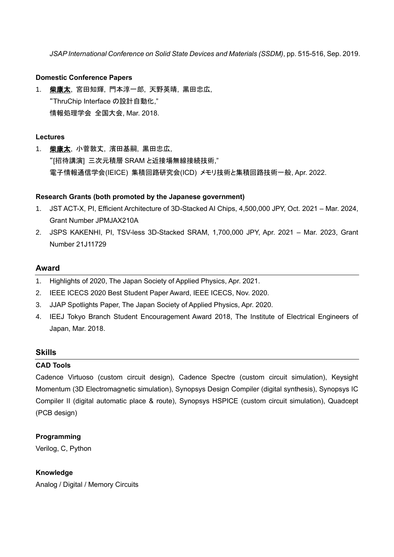*JSAP International Conference on Solid State Devices and Materials (SSDM)*, pp. 515-516, Sep. 2019.

### **Domestic Conference Papers**

1. 柴康太, 宮田知輝, 門本淳一郎, 天野英晴, 黒田忠広, "ThruChip Interface の設計自動化," 情報処理学会 全国大会, Mar. 2018.

#### **Lectures**

1. 柴康太, 小菅敦丈, 濱田基嗣, 黒田忠広, "[招待講演] 三次元積層 SRAM と近接場無線接続技術," 電子情報通信学会(IEICE) 集積回路研究会(ICD) メモリ技術と集積回路技術一般, Apr. 2022.

#### **Research Grants (both promoted by the Japanese government)**

- 1. JST ACT-X, PI, Efficient Architecture of 3D-Stacked AI Chips, 4,500,000 JPY, Oct. 2021 Mar. 2024, Grant Number JPMJAX210A
- 2. JSPS KAKENHI, PI, TSV-less 3D-Stacked SRAM, 1,700,000 JPY, Apr. 2021 Mar. 2023, Grant Number 21J11729

#### **Award**

- 1. Highlights of 2020, The Japan Society of Applied Physics, Apr. 2021.
- 2. IEEE ICECS 2020 Best Student Paper Award, IEEE ICECS, Nov. 2020.
- 3. JJAP Spotlights Paper, The Japan Society of Applied Physics, Apr. 2020.
- 4. IEEJ Tokyo Branch Student Encouragement Award 2018, The Institute of Electrical Engineers of Japan, Mar. 2018.

# **Skills**

#### **CAD Tools**

Cadence Virtuoso (custom circuit design), Cadence Spectre (custom circuit simulation), Keysight Momentum (3D Electromagnetic simulation), Synopsys Design Compiler (digital synthesis), Synopsys IC Compiler II (digital automatic place & route), Synopsys HSPICE (custom circuit simulation), Quadcept (PCB design)

# **Programming**

Verilog, C, Python

# **Knowledge**

Analog / Digital / Memory Circuits